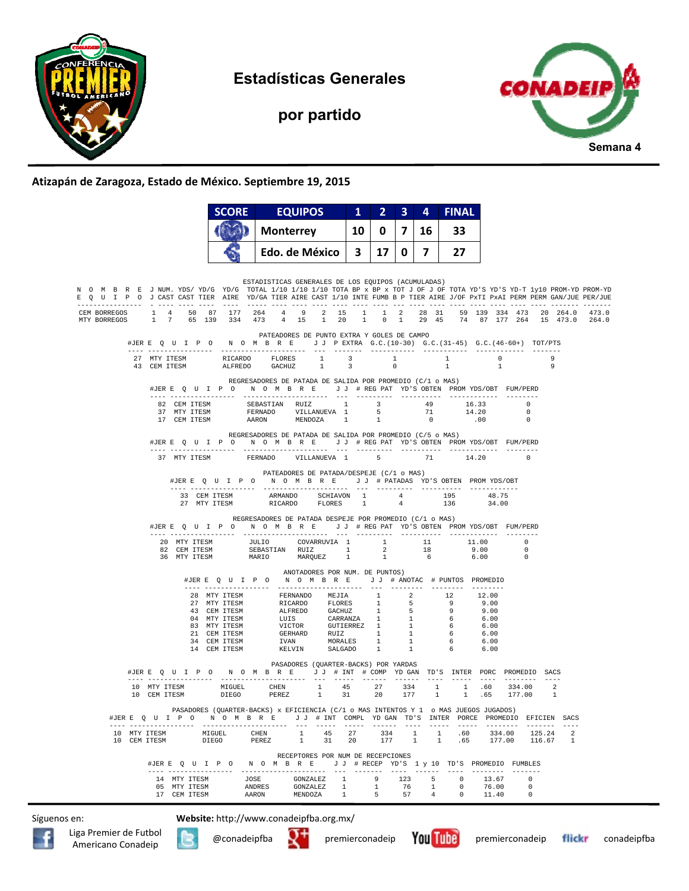

**Estadísticas Generales** 

**por partido** 



## **Atizapán de Zaragoza, Estado de México. Septiembre 19, 2015**

|                              |              | <b>SCORE</b>    |                  | <b>EQUIPOS</b>                                                                                                                                                                                                                                                                                                   | $\mathbf{1}$ |              | 3   | 4              | <b>FINAL</b>   |                                                                   |                                                                                                                                                              |   |  |
|------------------------------|--------------|-----------------|------------------|------------------------------------------------------------------------------------------------------------------------------------------------------------------------------------------------------------------------------------------------------------------------------------------------------------------|--------------|--------------|-----|----------------|----------------|-------------------------------------------------------------------|--------------------------------------------------------------------------------------------------------------------------------------------------------------|---|--|
|                              |              |                 | <b>Monterrey</b> |                                                                                                                                                                                                                                                                                                                  | 10   0   7   |              | 16  | 33             |                |                                                                   |                                                                                                                                                              |   |  |
|                              |              |                 |                  | Edo. de México $3 \mid 17 \mid 0 \mid 7 \mid 27$                                                                                                                                                                                                                                                                 |              |              |     |                |                |                                                                   |                                                                                                                                                              |   |  |
|                              |              |                 |                  |                                                                                                                                                                                                                                                                                                                  |              |              |     |                |                |                                                                   |                                                                                                                                                              |   |  |
|                              |              |                 |                  | ESTADISTICAS GENERALES DE LOS EQUIPOS (ACUMULADAS)<br>N O M B R E JNUM. YDS/YD/G YD/G TOTAL 1/10 1/10 1/10 TOTA BP x BP x TOT J OF J OF TOTA YD'S YD-S YD-T 1y10 PROM-YD PROM-YD<br>E Q U I P O J CAST CAST TIER AIRE YD/GA TIER AIRE CAST 1/10 INTE FUMB B P TIER AIRE J/OF PxTI PxAI PERM PERM GAN/JUE PER/JUE |              |              |     |                |                |                                                                   |                                                                                                                                                              |   |  |
| MTY BORREGOS                 |              |                 |                  | CEM BORREGOS 1 4 50 87 177 264 4 9 2 15 1 1 2 28 31 59 139 334 473 20 264.0 473.0<br>1 7 65 139 334 473 4 15 1 20 1 0 1 29 45 74 87 177 264 15 473.0 264.0                                                                                                                                                       |              |              |     |                |                |                                                                   |                                                                                                                                                              |   |  |
|                              |              |                 |                  | PATEADORES DE PUNTO EXTRA Y GOLES DE CAMPO<br>#JERE OUIPO NOMBRE JJPEXTRA G.C. (10-30) G.C. (31-45) G.C. (46-60+) TOT/PTS                                                                                                                                                                                        |              |              |     |                |                |                                                                   |                                                                                                                                                              |   |  |
|                              |              |                 |                  |                                                                                                                                                                                                                                                                                                                  |              |              |     |                | 1              | $\begin{array}{ccc} 1 & 0 \\ 1 & 1 \end{array}$<br>$\overline{1}$ |                                                                                                                                                              | 9 |  |
|                              |              |                 |                  | REGRESADORES DE PATADA DE SALIDA POR PROMEDIO (C/1 o MAS)<br>#JER E Q U I P O N O M B R E J J # REG PAT YD'S OBTEN PROMYDS/OBT FUM/PERD                                                                                                                                                                          |              |              |     |                |                |                                                                   |                                                                                                                                                              |   |  |
|                              |              |                 |                  |                                                                                                                                                                                                                                                                                                                  |              |              |     |                |                |                                                                   |                                                                                                                                                              |   |  |
|                              |              |                 |                  | $\begin{tabular}{cccccccc} 82 & CEM TTESM & SEBASTIAN RUIZ & 1 & 3 & 49 & 16.33 & 0 \\ 37 & MTY TTESM & FERNADO & VILLANUEVA & 1 & 5 & 71 & 14.20 & 0 \\ 17 & CEM TTESM & AARON & MENDOZA & 1 & 1 & 0 & .00 & 0 \\ \end{tabular}$                                                                                |              |              |     |                |                |                                                                   |                                                                                                                                                              |   |  |
|                              |              |                 |                  | REGRESADORES DE PATADA DE SALIDA POR PROMEDIO (C/5 o MAS)<br>#JERE Q U I P O N O M B R E J J # REG PAT YD'S OBTEN PROMYDS/OBT FUM/PERD                                                                                                                                                                           |              |              |     |                |                |                                                                   |                                                                                                                                                              |   |  |
|                              | 37 MTY ITESM |                 |                  | FERNADO VILLANUEVA 1 5                                                                                                                                                                                                                                                                                           |              |              |     |                | 71 14.20       |                                                                   |                                                                                                                                                              |   |  |
|                              |              |                 |                  | PATEADORES DE PATADA/DESPEJE (C/1 o MAS)                                                                                                                                                                                                                                                                         |              |              |     |                |                |                                                                   |                                                                                                                                                              |   |  |
|                              |              |                 |                  | #JERE Q U I P O N O M B R E J J # PATADAS YD'S OBTEN PROMYDS/OBT                                                                                                                                                                                                                                                 |              |              |     |                |                |                                                                   |                                                                                                                                                              |   |  |
|                              |              |                 |                  |                                                                                                                                                                                                                                                                                                                  |              |              |     |                |                | 48.75<br>34.00                                                    |                                                                                                                                                              |   |  |
|                              |              |                 |                  | REGRESADORES DE PATADA DESPEJE POR PROMEDIO (C/1 o MAS)<br>#JERE QUIPO NOMBRE JJ #REGPAT YD'S OBTEN PROMYDS/OBT FUM/PERD                                                                                                                                                                                         |              |              |     |                |                |                                                                   |                                                                                                                                                              |   |  |
|                              |              |                 |                  | $\begin{tabular}{cccccccc} 20 & MTY TTESM & & & \textit{JULIO} & & \textit{COVARRUVIA} & 1 & & 1 & & 11 & & 11.00 & 0 \\ 82 & CEM TTESM & & SEBASTIAN & RUIZ & & 1 & & 2 & & 18 & & 9.00 & 0 \\ 36 & MTY TTESM & & & \textit{MARIO} & & \textit{MARQUEZ} & 1 & 1 & 6 & & 6.00 & 0 \\ \end{tabular}$              |              |              |     |                |                |                                                                   |                                                                                                                                                              |   |  |
|                              |              |                 |                  | ANOTADORES POR NUM. DE PUNTOS)<br>#JERE Q U I P O N O M B R E J J # ANOTAC # PUNTOS PROMEDIO                                                                                                                                                                                                                     |              |              |     |                |                |                                                                   |                                                                                                                                                              |   |  |
|                              |              |                 |                  |                                                                                                                                                                                                                                                                                                                  |              |              |     |                |                |                                                                   |                                                                                                                                                              |   |  |
|                              |              |                 |                  |                                                                                                                                                                                                                                                                                                                  |              |              |     |                |                |                                                                   |                                                                                                                                                              |   |  |
|                              |              |                 |                  |                                                                                                                                                                                                                                                                                                                  |              |              |     |                |                |                                                                   |                                                                                                                                                              |   |  |
|                              |              |                 |                  |                                                                                                                                                                                                                                                                                                                  |              |              |     |                |                |                                                                   |                                                                                                                                                              |   |  |
|                              |              |                 |                  | 28 MTY ITESM FERNANDO MEJIA 1 2 12 12.00<br>27 MTY ITESM RICARDO FLORES 1 5 9 9.00<br>43 CEM ITESM ALFREDO GACHIZ 1 5 9 9.00<br>44 MTY ITESM LUIS GARRANZA 1 5 9 9.00<br>83 MTY ITESM UICTOR GUTIERREZ 1 1 6 6.00<br>83 MTY ITESM GERHAR                                                                         |              |              |     |                |                |                                                                   |                                                                                                                                                              |   |  |
|                              |              |                 |                  | PASADORES (QUARTER-BACKS) POR YARDAS<br>#JERE QUIPO NOMBRE JJ # INT # COMP YDGAN TD'S INTER PORC PROMEDIO SACS                                                                                                                                                                                                   |              |              |     |                |                | $- - - - -$                                                       |                                                                                                                                                              |   |  |
|                              |              |                 |                  | $\begin{tabular}{lcccccc} 10 & MTY ITESM & MIGUEL & CHEN & 1 & 45 & 27 & 334 & 1 & 1 & .60 \\ 10 & CEM ITESM & DIEGO & PEREZ & 1 & 31 & 20 & 177 & 1 & 1 & .65 \\ \end{tabular}$                                                                                                                                 |              |              |     |                |                |                                                                   | 334.00 2<br>177.00 1                                                                                                                                         |   |  |
|                              |              |                 |                  | PASADORES (QUARTER-BACKS) x EFICIENCIA (C/1 o MAS INTENTOS Y 1 o MAS JUEGOS JUGADOS)<br>#JER E Q U I P O N O M B R E J J # INT COMPL YDGAN TD'S INTER PORCE PROMEDIO EFICIEN SACS                                                                                                                                |              |              |     |                |                |                                                                   |                                                                                                                                                              |   |  |
| 10 MTY ITESM<br>10 CEM ITESM |              | MIGUEL<br>DIEGO | CHEN<br>PEREZ    | $\mathbf{1}$<br>45<br>31<br>$\mathbf{1}$                                                                                                                                                                                                                                                                         | 27<br>20     |              |     |                |                | 334.00                                                            | $\begin{array}{cccccccc} 334 & & 1 & & 1 & & .60 & & 334\, .00 & & 125\, .24 & & 2 \\ 177 & & 1 & & 1 & & .65 & & 177\, .00 & & 116\, .67 & & 1 \end{array}$ |   |  |
|                              |              |                 |                  | RECEPTORES POR NUM DE RECEPCIONES<br>#JERE QUIPO NOMBRE JJ#RECEPYD'S 1 y 10 TD'S PROMEDIO FUMBLES                                                                                                                                                                                                                |              |              |     |                |                |                                                                   |                                                                                                                                                              |   |  |
|                              | 14 MTY ITESM |                 | <b>JOSE</b>      | GONZALEZ 1                                                                                                                                                                                                                                                                                                       |              | - 9          | 123 | 5              | $\overline{0}$ | 13.67                                                             | $\Omega$                                                                                                                                                     |   |  |
|                              | 05 MTY ITESM |                 | <b>ANDRES</b>    | GONZALEZ                                                                                                                                                                                                                                                                                                         | $\sim$ 1     | $\mathbf{1}$ | 76  | $\overline{1}$ | 0              | 76.00                                                             | 0                                                                                                                                                            |   |  |
|                              | 17 CEM ITESM |                 | AARON            | MENDOZA                                                                                                                                                                                                                                                                                                          | 1            | - 5          | 57  | 4              | $^{\circ}$     | 11.40                                                             | $^{\circ}$                                                                                                                                                   |   |  |

Síguenos en: **Website:** http://www.conadeipfba.org.mx/







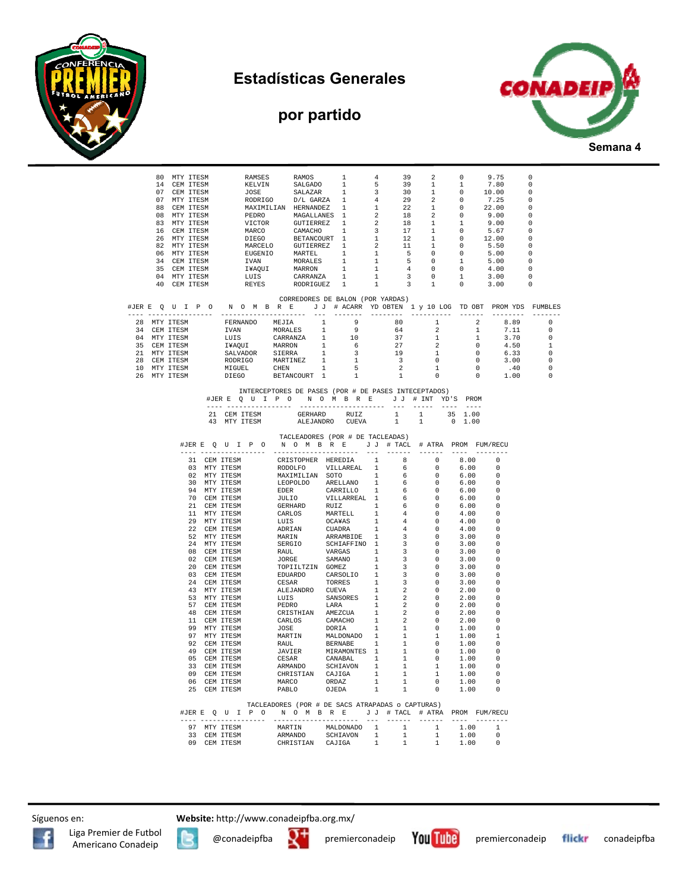

**por partido** 





|                                                                                                                                                                                                                                                                                                                                                                       |  |  | 80 MTY ITESM<br>RAMSES<br>RAMSES RAMOS 1 4<br>KELVIN SALGADO 1 5<br>JOSE SALAZAR 1 3<br>RODRIGO D/L GARZA 1 4<br>MAXIMILIAN HERNANDEZ 1 1<br>PEDRO MAGRILANES 1 2<br>VICTOR GUTIERREZ 1 2<br>MARCO CAMACHO 1 3<br>DIEGO GUTIERREZ 1 2<br>EUGENIO MARTEL 1 1<br>IVANOU MARTEL<br>14 CEM ITESM<br>07 CEM ITESM<br>07 MTY ITESM<br>88 CEM ITESM<br>08 MTY ITESM<br>83 MTY ITESM<br>16 CEM ITESM<br>26 MTY ITESM<br>82 MTY ITESM<br>06 MTY ITESM<br>34 CEM ITESM<br>35 CEM ITESM<br>04 MTY ITESM<br>40 CEM ITESM |  |  | 1<br>RAMOS                                                                                                                                                                                                                                                                                                                                                                                                                                                                                                                   |  | $4 -$<br>39<br>39<br>30<br>29<br>22<br>18<br>18<br>17<br>12<br>11<br>$\frac{5}{5}$<br>$\overline{4}$<br>$\overline{\phantom{a}}$<br>$\overline{\mathbf{3}}$<br>CORREDORES DE BALON (POR YARDAS) |  | $\overline{\mathbf{2}}$<br>$\begin{array}{c} 2 \\ 1 \\ 2 \\ 2 \\ 1 \\ 2 \end{array}$<br>$\mathbf{1}$<br>$\mathbf{1}$<br>1<br>$\mathbf{1}$<br>$\overline{0}$<br>$\overline{\phantom{0}}$<br>$\overline{0}$<br>$\begin{matrix} 0& &1\\ &1& &0 \end{matrix}$ |  | $\overline{0}$<br>$\mathbf{1}$<br>$\overline{\phantom{0}}$<br>$\mathbb O$<br>$\overline{0}$<br>$\overline{0}$<br>$\overline{1}$<br>$\overline{0}$<br>$\overline{0}$<br>$\overline{0}$<br>$\overline{0}$<br>1<br>$\overline{0}$ | 9.75<br>7.80<br>10.00<br>7.25<br>22.00<br>9.00<br>9.00<br>5.67<br>12.00<br>5.50<br>5.00<br>5.00<br>4.00<br>3.00<br>3.00 | $\overline{0}$<br>$\overline{0}$<br>$^{\circ}$<br>- 0<br>$^{\circ}$<br>$\overline{\phantom{0}}$<br>$\hfill 0$<br>$\overline{\phantom{0}}$<br>$\overline{\phantom{0}}$<br>$\overline{\phantom{0}}$<br>$\overline{\phantom{0}}$<br>$\hfill 0$<br>$\hfill 0$<br>$\overline{\phantom{0}}$<br>$\overline{\phantom{0}}$ |                |
|-----------------------------------------------------------------------------------------------------------------------------------------------------------------------------------------------------------------------------------------------------------------------------------------------------------------------------------------------------------------------|--|--|--------------------------------------------------------------------------------------------------------------------------------------------------------------------------------------------------------------------------------------------------------------------------------------------------------------------------------------------------------------------------------------------------------------------------------------------------------------------------------------------------------------|--|--|------------------------------------------------------------------------------------------------------------------------------------------------------------------------------------------------------------------------------------------------------------------------------------------------------------------------------------------------------------------------------------------------------------------------------------------------------------------------------------------------------------------------------|--|-------------------------------------------------------------------------------------------------------------------------------------------------------------------------------------------------|--|-----------------------------------------------------------------------------------------------------------------------------------------------------------------------------------------------------------------------------------------------------------|--|--------------------------------------------------------------------------------------------------------------------------------------------------------------------------------------------------------------------------------|-------------------------------------------------------------------------------------------------------------------------|-------------------------------------------------------------------------------------------------------------------------------------------------------------------------------------------------------------------------------------------------------------------------------------------------------------------|----------------|
|                                                                                                                                                                                                                                                                                                                                                                       |  |  |                                                                                                                                                                                                                                                                                                                                                                                                                                                                                                              |  |  |                                                                                                                                                                                                                                                                                                                                                                                                                                                                                                                              |  |                                                                                                                                                                                                 |  |                                                                                                                                                                                                                                                           |  |                                                                                                                                                                                                                                |                                                                                                                         | #JERE QUIPO NOMBRE JJ # ACARR YDOBTEN 1 y 10 LOG TDOBT PROMYDS FUMBLES                                                                                                                                                                                                                                            |                |
|                                                                                                                                                                                                                                                                                                                                                                       |  |  |                                                                                                                                                                                                                                                                                                                                                                                                                                                                                                              |  |  |                                                                                                                                                                                                                                                                                                                                                                                                                                                                                                                              |  |                                                                                                                                                                                                 |  |                                                                                                                                                                                                                                                           |  |                                                                                                                                                                                                                                | $\begin{array}{c} 2 \\ 1 \end{array}$                                                                                   | 8.89                                                                                                                                                                                                                                                                                                              | $\overline{0}$ |
|                                                                                                                                                                                                                                                                                                                                                                       |  |  |                                                                                                                                                                                                                                                                                                                                                                                                                                                                                                              |  |  |                                                                                                                                                                                                                                                                                                                                                                                                                                                                                                                              |  |                                                                                                                                                                                                 |  |                                                                                                                                                                                                                                                           |  |                                                                                                                                                                                                                                | $\begin{array}{c} 1 \\ 0 \\ 0 \end{array}$                                                                              | 7.11<br>3.70                                                                                                                                                                                                                                                                                                      | $^{\circ}$     |
|                                                                                                                                                                                                                                                                                                                                                                       |  |  |                                                                                                                                                                                                                                                                                                                                                                                                                                                                                                              |  |  |                                                                                                                                                                                                                                                                                                                                                                                                                                                                                                                              |  |                                                                                                                                                                                                 |  |                                                                                                                                                                                                                                                           |  | $\frac{1}{2}$                                                                                                                                                                                                                  |                                                                                                                         | 4.50                                                                                                                                                                                                                                                                                                              | $\circ$<br>1   |
|                                                                                                                                                                                                                                                                                                                                                                       |  |  |                                                                                                                                                                                                                                                                                                                                                                                                                                                                                                              |  |  |                                                                                                                                                                                                                                                                                                                                                                                                                                                                                                                              |  |                                                                                                                                                                                                 |  |                                                                                                                                                                                                                                                           |  |                                                                                                                                                                                                                                |                                                                                                                         | 6.33                                                                                                                                                                                                                                                                                                              | $\Omega$       |
|                                                                                                                                                                                                                                                                                                                                                                       |  |  |                                                                                                                                                                                                                                                                                                                                                                                                                                                                                                              |  |  |                                                                                                                                                                                                                                                                                                                                                                                                                                                                                                                              |  |                                                                                                                                                                                                 |  |                                                                                                                                                                                                                                                           |  |                                                                                                                                                                                                                                |                                                                                                                         |                                                                                                                                                                                                                                                                                                                   | $\overline{0}$ |
|                                                                                                                                                                                                                                                                                                                                                                       |  |  |                                                                                                                                                                                                                                                                                                                                                                                                                                                                                                              |  |  |                                                                                                                                                                                                                                                                                                                                                                                                                                                                                                                              |  |                                                                                                                                                                                                 |  |                                                                                                                                                                                                                                                           |  |                                                                                                                                                                                                                                |                                                                                                                         | $\begin{array}{ccc} 0 & & 3\, .\, 00 \ 0 & & .\, 40 \ 0 & & 1\, .\, 00 \end{array}$                                                                                                                                                                                                                               | $\overline{0}$ |
|                                                                                                                                                                                                                                                                                                                                                                       |  |  |                                                                                                                                                                                                                                                                                                                                                                                                                                                                                                              |  |  |                                                                                                                                                                                                                                                                                                                                                                                                                                                                                                                              |  |                                                                                                                                                                                                 |  |                                                                                                                                                                                                                                                           |  | $\begin{array}{c} \texttt{-} \\ \texttt{1} \\ \texttt{0} \end{array}$                                                                                                                                                          |                                                                                                                         |                                                                                                                                                                                                                                                                                                                   | $\circ$        |
| 28 MTY ITESM FERNANDO MEJIA 1<br>28 MTY ITESM FERNANDO MEJIA 1<br>91 CEM ITESM LUIS CARRANZA 1<br>35 CEM ITESM LUIS CARRANZA 1<br>35 CEM ITESM ITAQUI MARRON 1<br>21 MTY ITESM RODRIGO MARTINEZ 1<br>10 MTY ITESM RODRIGO MARTINEZ 1<br>26 C<br>INTERCEPTORES DE PASES (POR # DE PASES INTECEPTADOS)<br>#JERE QUIPONOMBRE JJ # INT YD'S PROM<br>--------------------- |  |  |                                                                                                                                                                                                                                                                                                                                                                                                                                                                                                              |  |  |                                                                                                                                                                                                                                                                                                                                                                                                                                                                                                                              |  |                                                                                                                                                                                                 |  |                                                                                                                                                                                                                                                           |  |                                                                                                                                                                                                                                |                                                                                                                         |                                                                                                                                                                                                                                                                                                                   |                |
|                                                                                                                                                                                                                                                                                                                                                                       |  |  |                                                                                                                                                                                                                                                                                                                                                                                                                                                                                                              |  |  |                                                                                                                                                                                                                                                                                                                                                                                                                                                                                                                              |  |                                                                                                                                                                                                 |  |                                                                                                                                                                                                                                                           |  |                                                                                                                                                                                                                                |                                                                                                                         |                                                                                                                                                                                                                                                                                                                   |                |
|                                                                                                                                                                                                                                                                                                                                                                       |  |  |                                                                                                                                                                                                                                                                                                                                                                                                                                                                                                              |  |  | $\begin{tabular}{lcccccc} 21 & CEM TTESM & & GERHARD & RUIZ & & 1 & & 1 & & 35 & 1.00 \\ 43 & MTY TTESM & & & ALEJANDRO & CUEVA & & 1 & & 1 & & 0 & 1.00 \\ \end{tabular}$                                                                                                                                                                                                                                                                                                                                                   |  |                                                                                                                                                                                                 |  |                                                                                                                                                                                                                                                           |  |                                                                                                                                                                                                                                |                                                                                                                         |                                                                                                                                                                                                                                                                                                                   |                |
|                                                                                                                                                                                                                                                                                                                                                                       |  |  |                                                                                                                                                                                                                                                                                                                                                                                                                                                                                                              |  |  | TACLEADORES (POR # DE TACLEADAS)<br>#JERE QUIPO NOMBRE JJ # TACL # ATRA PROM FUM/RECU<br>$\begin{tabular}{cccccccc} \texttt{JER B} & \texttt{C} & \texttt{D} & \texttt{N} & \texttt{M} & \texttt{M} & \texttt{M} & \texttt{R} & \texttt{R} & \texttt{J} & \texttt{I} & \texttt{I} & \texttt{I} & \texttt{I} & \texttt{I} & \texttt{I} & \texttt{I} & \texttt{I} & \texttt{I} & \texttt{I} & \texttt{I} & \texttt{I} & \texttt{I} & \texttt{I} & \texttt{I} & \texttt{I} & \texttt{I} & \texttt{I} & \texttt{I} & \texttt{I}$ |  |                                                                                                                                                                                                 |  |                                                                                                                                                                                                                                                           |  |                                                                                                                                                                                                                                |                                                                                                                         | 8.00 0                                                                                                                                                                                                                                                                                                            |                |
|                                                                                                                                                                                                                                                                                                                                                                       |  |  |                                                                                                                                                                                                                                                                                                                                                                                                                                                                                                              |  |  |                                                                                                                                                                                                                                                                                                                                                                                                                                                                                                                              |  |                                                                                                                                                                                                 |  |                                                                                                                                                                                                                                                           |  |                                                                                                                                                                                                                                | 6.00<br>6.00                                                                                                            | $\overline{\phantom{0}}$<br>- 0                                                                                                                                                                                                                                                                                   |                |
|                                                                                                                                                                                                                                                                                                                                                                       |  |  |                                                                                                                                                                                                                                                                                                                                                                                                                                                                                                              |  |  |                                                                                                                                                                                                                                                                                                                                                                                                                                                                                                                              |  |                                                                                                                                                                                                 |  |                                                                                                                                                                                                                                                           |  |                                                                                                                                                                                                                                | 6.00                                                                                                                    | $\Omega$                                                                                                                                                                                                                                                                                                          |                |
|                                                                                                                                                                                                                                                                                                                                                                       |  |  |                                                                                                                                                                                                                                                                                                                                                                                                                                                                                                              |  |  |                                                                                                                                                                                                                                                                                                                                                                                                                                                                                                                              |  |                                                                                                                                                                                                 |  |                                                                                                                                                                                                                                                           |  |                                                                                                                                                                                                                                | 6.00                                                                                                                    | $\bigcirc$                                                                                                                                                                                                                                                                                                        |                |
|                                                                                                                                                                                                                                                                                                                                                                       |  |  |                                                                                                                                                                                                                                                                                                                                                                                                                                                                                                              |  |  |                                                                                                                                                                                                                                                                                                                                                                                                                                                                                                                              |  |                                                                                                                                                                                                 |  |                                                                                                                                                                                                                                                           |  |                                                                                                                                                                                                                                | 6.00                                                                                                                    | $\bigcirc$                                                                                                                                                                                                                                                                                                        |                |
|                                                                                                                                                                                                                                                                                                                                                                       |  |  |                                                                                                                                                                                                                                                                                                                                                                                                                                                                                                              |  |  |                                                                                                                                                                                                                                                                                                                                                                                                                                                                                                                              |  |                                                                                                                                                                                                 |  |                                                                                                                                                                                                                                                           |  |                                                                                                                                                                                                                                | 6.00                                                                                                                    | - 0                                                                                                                                                                                                                                                                                                               |                |
|                                                                                                                                                                                                                                                                                                                                                                       |  |  |                                                                                                                                                                                                                                                                                                                                                                                                                                                                                                              |  |  |                                                                                                                                                                                                                                                                                                                                                                                                                                                                                                                              |  |                                                                                                                                                                                                 |  |                                                                                                                                                                                                                                                           |  |                                                                                                                                                                                                                                | 4.00                                                                                                                    | $\Omega$                                                                                                                                                                                                                                                                                                          |                |
|                                                                                                                                                                                                                                                                                                                                                                       |  |  |                                                                                                                                                                                                                                                                                                                                                                                                                                                                                                              |  |  |                                                                                                                                                                                                                                                                                                                                                                                                                                                                                                                              |  |                                                                                                                                                                                                 |  |                                                                                                                                                                                                                                                           |  |                                                                                                                                                                                                                                | 4.00                                                                                                                    | $\Omega$                                                                                                                                                                                                                                                                                                          |                |
|                                                                                                                                                                                                                                                                                                                                                                       |  |  |                                                                                                                                                                                                                                                                                                                                                                                                                                                                                                              |  |  |                                                                                                                                                                                                                                                                                                                                                                                                                                                                                                                              |  |                                                                                                                                                                                                 |  |                                                                                                                                                                                                                                                           |  |                                                                                                                                                                                                                                | 4.00                                                                                                                    | $\bigcap$                                                                                                                                                                                                                                                                                                         |                |
|                                                                                                                                                                                                                                                                                                                                                                       |  |  |                                                                                                                                                                                                                                                                                                                                                                                                                                                                                                              |  |  |                                                                                                                                                                                                                                                                                                                                                                                                                                                                                                                              |  |                                                                                                                                                                                                 |  |                                                                                                                                                                                                                                                           |  |                                                                                                                                                                                                                                | 3.00                                                                                                                    | - 0<br>$\Omega$                                                                                                                                                                                                                                                                                                   |                |
|                                                                                                                                                                                                                                                                                                                                                                       |  |  |                                                                                                                                                                                                                                                                                                                                                                                                                                                                                                              |  |  |                                                                                                                                                                                                                                                                                                                                                                                                                                                                                                                              |  |                                                                                                                                                                                                 |  |                                                                                                                                                                                                                                                           |  |                                                                                                                                                                                                                                | 3.00<br>3.00                                                                                                            | $\Omega$                                                                                                                                                                                                                                                                                                          |                |
|                                                                                                                                                                                                                                                                                                                                                                       |  |  |                                                                                                                                                                                                                                                                                                                                                                                                                                                                                                              |  |  |                                                                                                                                                                                                                                                                                                                                                                                                                                                                                                                              |  |                                                                                                                                                                                                 |  |                                                                                                                                                                                                                                                           |  |                                                                                                                                                                                                                                | 3.00                                                                                                                    | $\cap$                                                                                                                                                                                                                                                                                                            |                |
|                                                                                                                                                                                                                                                                                                                                                                       |  |  |                                                                                                                                                                                                                                                                                                                                                                                                                                                                                                              |  |  |                                                                                                                                                                                                                                                                                                                                                                                                                                                                                                                              |  |                                                                                                                                                                                                 |  |                                                                                                                                                                                                                                                           |  |                                                                                                                                                                                                                                | 3.00                                                                                                                    | $\Omega$                                                                                                                                                                                                                                                                                                          |                |
|                                                                                                                                                                                                                                                                                                                                                                       |  |  |                                                                                                                                                                                                                                                                                                                                                                                                                                                                                                              |  |  |                                                                                                                                                                                                                                                                                                                                                                                                                                                                                                                              |  |                                                                                                                                                                                                 |  |                                                                                                                                                                                                                                                           |  |                                                                                                                                                                                                                                | 3.00                                                                                                                    | $\Omega$                                                                                                                                                                                                                                                                                                          |                |
|                                                                                                                                                                                                                                                                                                                                                                       |  |  |                                                                                                                                                                                                                                                                                                                                                                                                                                                                                                              |  |  |                                                                                                                                                                                                                                                                                                                                                                                                                                                                                                                              |  |                                                                                                                                                                                                 |  |                                                                                                                                                                                                                                                           |  |                                                                                                                                                                                                                                | 3.00                                                                                                                    | $\cap$                                                                                                                                                                                                                                                                                                            |                |
|                                                                                                                                                                                                                                                                                                                                                                       |  |  |                                                                                                                                                                                                                                                                                                                                                                                                                                                                                                              |  |  |                                                                                                                                                                                                                                                                                                                                                                                                                                                                                                                              |  |                                                                                                                                                                                                 |  |                                                                                                                                                                                                                                                           |  |                                                                                                                                                                                                                                | 2.00                                                                                                                    | $\cap$                                                                                                                                                                                                                                                                                                            |                |
|                                                                                                                                                                                                                                                                                                                                                                       |  |  |                                                                                                                                                                                                                                                                                                                                                                                                                                                                                                              |  |  |                                                                                                                                                                                                                                                                                                                                                                                                                                                                                                                              |  |                                                                                                                                                                                                 |  |                                                                                                                                                                                                                                                           |  |                                                                                                                                                                                                                                | 2.00<br>2.00                                                                                                            | $\Omega$<br>$\Omega$                                                                                                                                                                                                                                                                                              |                |
|                                                                                                                                                                                                                                                                                                                                                                       |  |  |                                                                                                                                                                                                                                                                                                                                                                                                                                                                                                              |  |  |                                                                                                                                                                                                                                                                                                                                                                                                                                                                                                                              |  |                                                                                                                                                                                                 |  |                                                                                                                                                                                                                                                           |  |                                                                                                                                                                                                                                | 2.00                                                                                                                    | - 0                                                                                                                                                                                                                                                                                                               |                |
|                                                                                                                                                                                                                                                                                                                                                                       |  |  |                                                                                                                                                                                                                                                                                                                                                                                                                                                                                                              |  |  |                                                                                                                                                                                                                                                                                                                                                                                                                                                                                                                              |  |                                                                                                                                                                                                 |  |                                                                                                                                                                                                                                                           |  |                                                                                                                                                                                                                                | 2.00                                                                                                                    | $\Omega$                                                                                                                                                                                                                                                                                                          |                |
|                                                                                                                                                                                                                                                                                                                                                                       |  |  |                                                                                                                                                                                                                                                                                                                                                                                                                                                                                                              |  |  |                                                                                                                                                                                                                                                                                                                                                                                                                                                                                                                              |  |                                                                                                                                                                                                 |  |                                                                                                                                                                                                                                                           |  |                                                                                                                                                                                                                                | 1.00                                                                                                                    | $\Omega$                                                                                                                                                                                                                                                                                                          |                |
|                                                                                                                                                                                                                                                                                                                                                                       |  |  |                                                                                                                                                                                                                                                                                                                                                                                                                                                                                                              |  |  |                                                                                                                                                                                                                                                                                                                                                                                                                                                                                                                              |  |                                                                                                                                                                                                 |  |                                                                                                                                                                                                                                                           |  |                                                                                                                                                                                                                                | 1.00                                                                                                                    | -1                                                                                                                                                                                                                                                                                                                |                |
|                                                                                                                                                                                                                                                                                                                                                                       |  |  |                                                                                                                                                                                                                                                                                                                                                                                                                                                                                                              |  |  |                                                                                                                                                                                                                                                                                                                                                                                                                                                                                                                              |  |                                                                                                                                                                                                 |  |                                                                                                                                                                                                                                                           |  |                                                                                                                                                                                                                                | 1.00                                                                                                                    | $\Omega$                                                                                                                                                                                                                                                                                                          |                |
|                                                                                                                                                                                                                                                                                                                                                                       |  |  |                                                                                                                                                                                                                                                                                                                                                                                                                                                                                                              |  |  |                                                                                                                                                                                                                                                                                                                                                                                                                                                                                                                              |  |                                                                                                                                                                                                 |  |                                                                                                                                                                                                                                                           |  |                                                                                                                                                                                                                                | 1.00                                                                                                                    | $\Omega$<br>$\Omega$                                                                                                                                                                                                                                                                                              |                |
|                                                                                                                                                                                                                                                                                                                                                                       |  |  |                                                                                                                                                                                                                                                                                                                                                                                                                                                                                                              |  |  |                                                                                                                                                                                                                                                                                                                                                                                                                                                                                                                              |  |                                                                                                                                                                                                 |  |                                                                                                                                                                                                                                                           |  |                                                                                                                                                                                                                                | 1.00<br>1.00                                                                                                            | $\Omega$                                                                                                                                                                                                                                                                                                          |                |
|                                                                                                                                                                                                                                                                                                                                                                       |  |  |                                                                                                                                                                                                                                                                                                                                                                                                                                                                                                              |  |  |                                                                                                                                                                                                                                                                                                                                                                                                                                                                                                                              |  |                                                                                                                                                                                                 |  |                                                                                                                                                                                                                                                           |  |                                                                                                                                                                                                                                | 1.00                                                                                                                    | $\Omega$                                                                                                                                                                                                                                                                                                          |                |
|                                                                                                                                                                                                                                                                                                                                                                       |  |  |                                                                                                                                                                                                                                                                                                                                                                                                                                                                                                              |  |  |                                                                                                                                                                                                                                                                                                                                                                                                                                                                                                                              |  |                                                                                                                                                                                                 |  |                                                                                                                                                                                                                                                           |  |                                                                                                                                                                                                                                | 1.00                                                                                                                    | $\Omega$                                                                                                                                                                                                                                                                                                          |                |
|                                                                                                                                                                                                                                                                                                                                                                       |  |  |                                                                                                                                                                                                                                                                                                                                                                                                                                                                                                              |  |  |                                                                                                                                                                                                                                                                                                                                                                                                                                                                                                                              |  |                                                                                                                                                                                                 |  |                                                                                                                                                                                                                                                           |  |                                                                                                                                                                                                                                | 1.00                                                                                                                    | $\Omega$                                                                                                                                                                                                                                                                                                          |                |
|                                                                                                                                                                                                                                                                                                                                                                       |  |  |                                                                                                                                                                                                                                                                                                                                                                                                                                                                                                              |  |  |                                                                                                                                                                                                                                                                                                                                                                                                                                                                                                                              |  |                                                                                                                                                                                                 |  |                                                                                                                                                                                                                                                           |  |                                                                                                                                                                                                                                |                                                                                                                         |                                                                                                                                                                                                                                                                                                                   |                |
|                                                                                                                                                                                                                                                                                                                                                                       |  |  |                                                                                                                                                                                                                                                                                                                                                                                                                                                                                                              |  |  | TACLEADORES (POR # DE SACS ATRAPADAS o CAPTURAS)<br>#JERE QUIPO NOMBRE JJ # TACL # ATRA PROMFUM/RECU                                                                                                                                                                                                                                                                                                                                                                                                                         |  |                                                                                                                                                                                                 |  |                                                                                                                                                                                                                                                           |  |                                                                                                                                                                                                                                |                                                                                                                         |                                                                                                                                                                                                                                                                                                                   |                |
|                                                                                                                                                                                                                                                                                                                                                                       |  |  |                                                                                                                                                                                                                                                                                                                                                                                                                                                                                                              |  |  |                                                                                                                                                                                                                                                                                                                                                                                                                                                                                                                              |  |                                                                                                                                                                                                 |  |                                                                                                                                                                                                                                                           |  |                                                                                                                                                                                                                                |                                                                                                                         |                                                                                                                                                                                                                                                                                                                   |                |
|                                                                                                                                                                                                                                                                                                                                                                       |  |  |                                                                                                                                                                                                                                                                                                                                                                                                                                                                                                              |  |  |                                                                                                                                                                                                                                                                                                                                                                                                                                                                                                                              |  |                                                                                                                                                                                                 |  |                                                                                                                                                                                                                                                           |  |                                                                                                                                                                                                                                |                                                                                                                         |                                                                                                                                                                                                                                                                                                                   |                |
|                                                                                                                                                                                                                                                                                                                                                                       |  |  |                                                                                                                                                                                                                                                                                                                                                                                                                                                                                                              |  |  |                                                                                                                                                                                                                                                                                                                                                                                                                                                                                                                              |  |                                                                                                                                                                                                 |  |                                                                                                                                                                                                                                                           |  |                                                                                                                                                                                                                                |                                                                                                                         |                                                                                                                                                                                                                                                                                                                   |                |
|                                                                                                                                                                                                                                                                                                                                                                       |  |  |                                                                                                                                                                                                                                                                                                                                                                                                                                                                                                              |  |  |                                                                                                                                                                                                                                                                                                                                                                                                                                                                                                                              |  |                                                                                                                                                                                                 |  |                                                                                                                                                                                                                                                           |  |                                                                                                                                                                                                                                |                                                                                                                         |                                                                                                                                                                                                                                                                                                                   |                |

Síguenos en: **Website:** http://www.conadeipfba.org.mx/